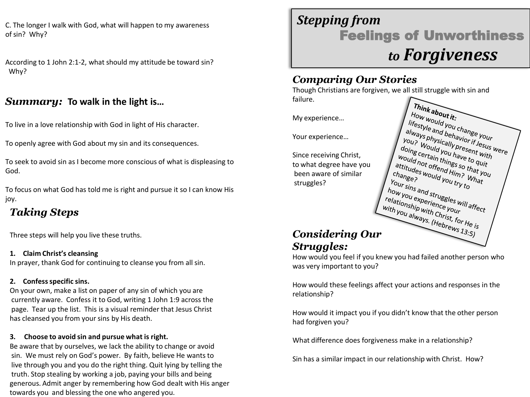C. The longer I walk with God, what will happen to my awareness of sin? Why?

According to 1 John 2:1-2, what should my attitude be toward sin? Why?

### *Summary:* **To walk in the light is…**

To live in a love relationship with God in light of His character.

To openly agree with God about my sin and its consequences.

To seek to avoid sin as I become more conscious of what is displeasing to God.

To focus on what God has told me is right and pursue it so I can know His joy.

## *Taking Steps*

Three steps will help you live these truths.

#### **1. Claim Christ's cleansing** In prayer, thank God for continuing to cleanse you from all sin.

#### **2. Confess specific sins.**

On your own, make a list on paper of any sin of which you are currently aware. Confess it to God, writing 1 John 1:9 across the page. Tear up the list. This is a visual reminder that Jesus Christ has cleansed you from your sins by His death.

#### **3. Choose to avoid sin and pursue what is right.**

Be aware that by ourselves, we lack the ability to change or avoid sin. We must rely on God's power. By faith, believe He wants to live through you and you do the right thing. Quit lying by telling the truth. Stop stealing by working a job, paying your bills and being generous. Admit anger by remembering how God dealt with His anger towards you and blessing the one who angered you.

## *Stepping from*  Feelings of Unworthiness *to Forgiveness*

## *Comparing Our Stories*

Though Christians are forgiven, we all still struggle with sin and failure.

My experience…

Your experience…

Since receiving Christ, to what degree have you been aware of similar struggles?

Think about it: **Inink about it:**<br>Iifestyle and you change your<br>always physically prior if Jesus<br>ou? We like it is always of the summary of the summary Tow woult it:<br>always physically ou change your<br>you? Ways physically present lesus were<br>you? Would you have the with<br>ing certain you have the with *I* "Testyle and you change your<br>always physically present work<br>you? Would you have flesus w<br>doing certain things et o quite<br>yould not ain things to quite I always physically present with<br>You? Would you havior if Jesus<br>doing certain you have ont with<br>would not ain things to quit<br>titudes. Offend with things I You? Would you have to guit<br>doing certain things so that<br>would not offend have to quit<br>attitudes would him? that you<br>hange? would you ... What I uoing could you have to with<br>would not offend Hings so that you<br>attitudes would you that you<br>change? would you try to<br>our sine *I* would not offend things so the<br>attitudes would you trim? W<br>Change?<br>Your sins and start for the<br>Own sins and start for the changes<br>Your I change? "Ould you try to Your sins and struggles will affect<br>how you experience will affect<br>relationship writing your mill affect<br>ith you alw. With Christ our sins and struggles will<br>relationship wifence your<br>with you always the Christ<br>with you always the Christ *L*<sup>with</sup> you always. (Hebrews 13:5)

# *Struggles:*

How would you feel if you knew you had failed another person who was very important to you?

How would these feelings affect your actions and responses in the relationship?

How would it impact you if you didn't know that the other person had forgiven you?

What difference does forgiveness make in a relationship?

Sin has a similar impact in our relationship with Christ. How?